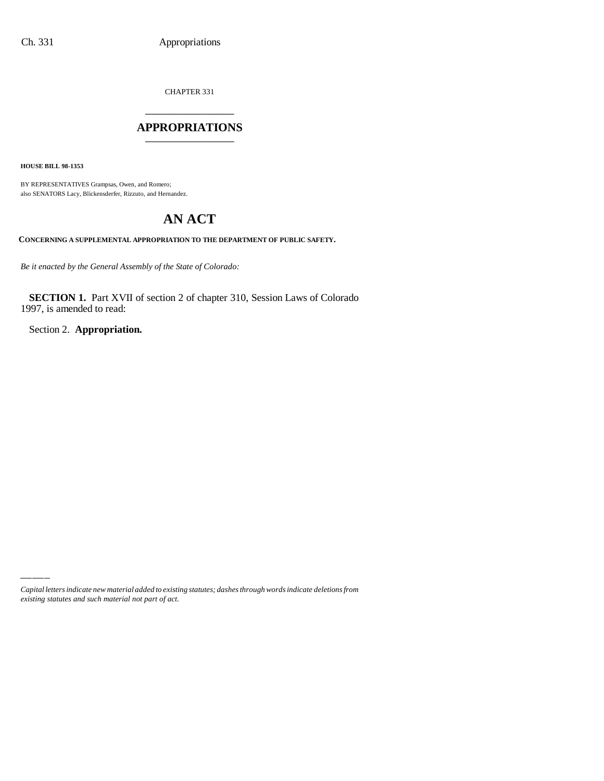CHAPTER 331

## \_\_\_\_\_\_\_\_\_\_\_\_\_\_\_ **APPROPRIATIONS** \_\_\_\_\_\_\_\_\_\_\_\_\_\_\_

**HOUSE BILL 98-1353**

BY REPRESENTATIVES Grampsas, Owen, and Romero; also SENATORS Lacy, Blickensderfer, Rizzuto, and Hernandez.

# **AN ACT**

**CONCERNING A SUPPLEMENTAL APPROPRIATION TO THE DEPARTMENT OF PUBLIC SAFETY.**

*Be it enacted by the General Assembly of the State of Colorado:*

**SECTION 1.** Part XVII of section 2 of chapter 310, Session Laws of Colorado 1997, is amended to read:

Section 2. **Appropriation.**

*Capital letters indicate new material added to existing statutes; dashes through words indicate deletions from existing statutes and such material not part of act.*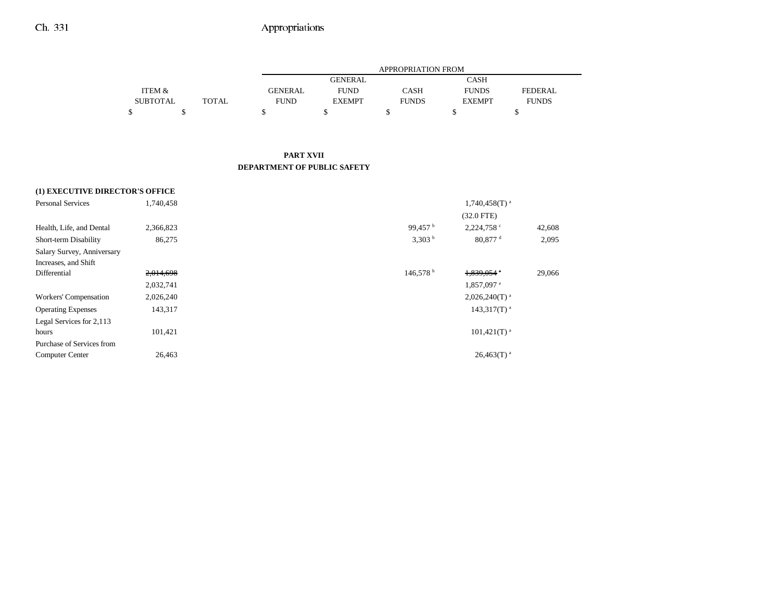|                   |       |                | APPROPRIATION FROM |              |               |              |  |  |  |  |
|-------------------|-------|----------------|--------------------|--------------|---------------|--------------|--|--|--|--|
|                   |       |                | <b>GENERAL</b>     |              | CASH          |              |  |  |  |  |
| <b>ITEM &amp;</b> |       | <b>GENERAL</b> | <b>FUND</b>        | CASH         | <b>FUNDS</b>  | FEDERAL.     |  |  |  |  |
| <b>SUBTOTAL</b>   | TOTAL | <b>FUND</b>    | <b>EXEMPT</b>      | <b>FUNDS</b> | <b>EXEMPT</b> | <b>FUNDS</b> |  |  |  |  |
|                   |       |                |                    |              |               |              |  |  |  |  |

### **PART XVIIDEPARTMENT OF PUBLIC SAFETY**

## **(1) EXECUTIVE DIRECTOR'S OFFICE** Personal Services 1,740,458 1,740,458 1,740,458 1,740,458 1,740,458 1,740,458 1,740,458 1,740,458 1,740,458 1, (32.0 FTE) Health, Life, and Dental 2,366,823 99,457 b 2,224,758 c 42,608 Short-term Disability 86,275 80,877 d 2,095 Salary Survey, Anniversary Increases, and Shift Differential 2,014,698 146,578 b 1,839,054 <sup>e</sup> 29,066 2,032,741 1,857,097 e Workers' Compensation 2,026,240 2,026,240 2,026,240 2,026,240 2,026,240 2,026,240 2,026,240 2,026,240 2,026,240 2,026,240 2,026,240 2,026,240 2,026,240 2,026,240 2,026,240 2,026,240 2,026,240 2,026,240 2,026,240 2,026,240 Operating Expenses  $143,317$   $143,317$   $143,317$   $143,317$   $143,317$   $143,317$   $143,317$   $143,317$   $143,317$   $143,317$   $143,317$   $143,317$   $143,317$   $143,317$   $143,317$   $143,317$   $143,317$   $143,317$   $143,317$   $143,317$   $1$ Legal Services for 2,113 hours and  $101,421$  and  $101,421$  and  $101,421$  m and  $101,421$  m and  $101,421$  m and  $101,421$  m and  $101,421$  m and  $101,421$  m and  $101,421$  m and  $101,421$  m and  $101,421$  m and  $101,421$  m and  $101,421$  m and  $101,42$ Purchase of Services from $\text{Computer Center}$  26,463 26,463 26,463 26,463 26,463 26,463 26,463 26,463 26,463 26,463 26,463 26,463 26,463 26,463 26,463 26,463 26,463 26,463 26,463 26,463 26,463 26,463 26,463 26,463 26,463 26,463 26,463 26,463 26,463 26,463 26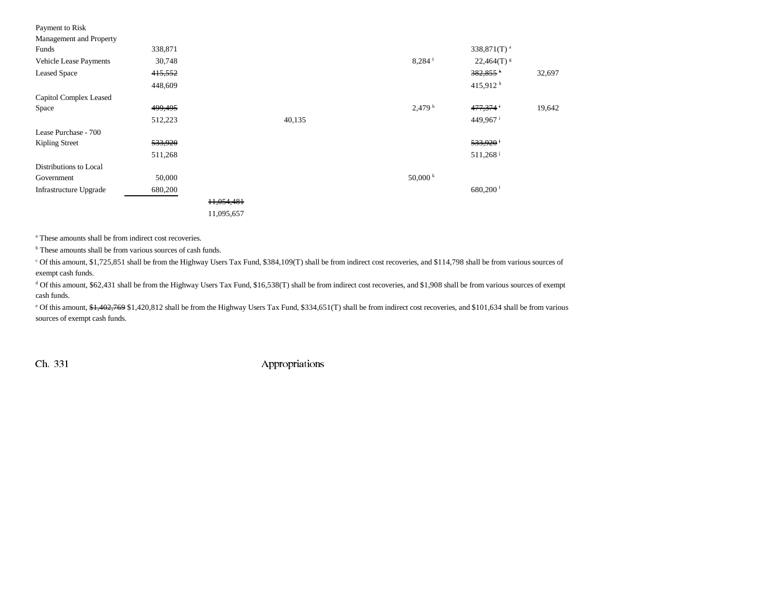| Payment to Risk         |         |            |        |                      |                            |        |
|-------------------------|---------|------------|--------|----------------------|----------------------------|--------|
| Management and Property |         |            |        |                      |                            |        |
| Funds                   | 338,871 |            |        |                      | 338,871 $(T)$ <sup>a</sup> |        |
| Vehicle Lease Payments  | 30,748  |            |        | $8,284$ <sup>f</sup> | $22,464(T)^{g}$            |        |
| <b>Leased Space</b>     | 415,552 |            |        |                      | $382,855$ <sup>h</sup>     | 32,697 |
|                         | 448,609 |            |        |                      | 415,912 $^{\rm h}$         |        |
| Capitol Complex Leased  |         |            |        |                      |                            |        |
| Space                   | 499,495 |            |        | $2,479$ <sup>b</sup> | 477,374 <sup>i</sup>       | 19,642 |
|                         | 512,223 |            | 40,135 |                      | 449,967 <sup>i</sup>       |        |
| Lease Purchase - 700    |         |            |        |                      |                            |        |
| Kipling Street          | 533,920 |            |        |                      | 533,920 <sup>j</sup>       |        |
|                         | 511,268 |            |        |                      | $511,268$ <sup>j</sup>     |        |
| Distributions to Local  |         |            |        |                      |                            |        |
| Government              | 50,000  |            |        | 50,000 k             |                            |        |
| Infrastructure Upgrade  | 680,200 |            |        |                      | $680,200$ <sup>1</sup>     |        |
|                         |         | 11,054,481 |        |                      |                            |        |
|                         |         | 11,095,657 |        |                      |                            |        |

a These amounts shall be from indirect cost recoveries.

<sup>b</sup> These amounts shall be from various sources of cash funds.

c Of this amount, \$1,725,851 shall be from the Highway Users Tax Fund, \$384,109(T) shall be from indirect cost recoveries, and \$114,798 shall be from various sources of exempt cash funds.

<sup>d</sup> Of this amount, \$62,431 shall be from the Highway Users Tax Fund, \$16,538(T) shall be from indirect cost recoveries, and \$1,908 shall be from various sources of exempt cash funds.

<sup>e</sup> Of this amount, \$1,402,769 \$1,420,812 shall be from the Highway Users Tax Fund, \$334,651(T) shall be from indirect cost recoveries, and \$101,634 shall be from various sources of exempt cash funds.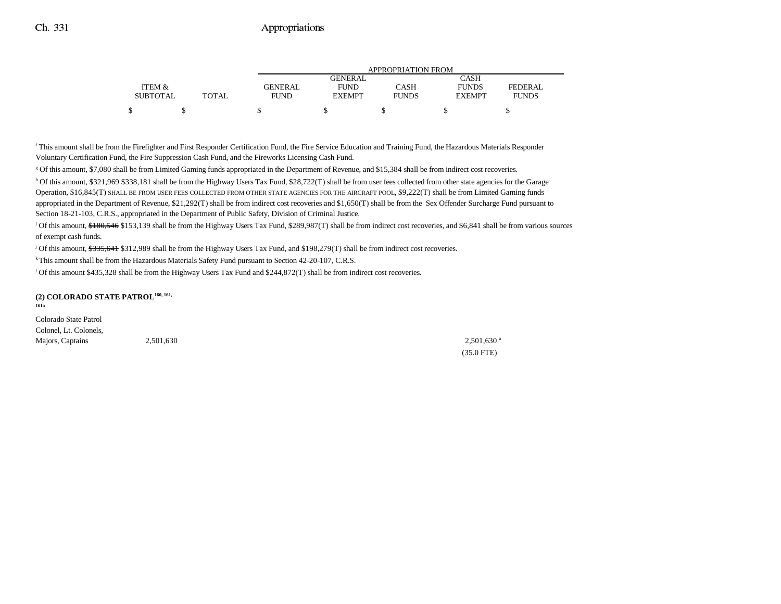|                 |              |                | APPROPRIATION FROM |              |               |              |  |  |  |  |
|-----------------|--------------|----------------|--------------------|--------------|---------------|--------------|--|--|--|--|
|                 |              |                | <b>GENERAL</b>     |              | CASH          |              |  |  |  |  |
| ITEM &          |              | <b>GENERAL</b> | <b>FUND</b>        | CASH         | <b>FUNDS</b>  | FEDERAL      |  |  |  |  |
| <b>SUBTOTAL</b> | <b>TOTAL</b> | <b>FUND</b>    | <b>EXEMPT</b>      | <b>FUNDS</b> | <b>EXEMPT</b> | <b>FUNDS</b> |  |  |  |  |
| ሖ               |              |                |                    |              |               |              |  |  |  |  |

f This amount shall be from the Firefighter and First Responder Certification Fund, the Fire Service Education and Training Fund, the Hazardous Materials Responder Voluntary Certification Fund, the Fire Suppression Cash Fund, and the Fireworks Licensing Cash Fund.

g Of this amount, \$7,080 shall be from Limited Gaming funds appropriated in the Department of Revenue, and \$15,384 shall be from indirect cost recoveries.

h Of this amount, \$321,969 \$338,181 shall be from the Highway Users Tax Fund, \$28,722(T) shall be from user fees collected from other state agencies for the Garage Operation, \$16,845(T) SHALL BE FROM USER FEES COLLECTED FROM OTHER STATE AGENCIES FOR THE AIRCRAFT POOL, \$9,222(T) shall be from Limited Gaming funds appropriated in the Department of Revenue, \$21,292(T) shall be from indirect cost recoveries and \$1,650(T) shall be from the Sex Offender Surcharge Fund pursuant to Section 18-21-103, C.R.S., appropriated in the Department of Public Safety, Division of Criminal Justice.

<sup>i</sup> Of this amount, \$180,546 \$153,139 shall be from the Highway Users Tax Fund, \$289,987(T) shall be from indirect cost recoveries, and \$6,841 shall be from various sources of exempt cash funds.

j Of this amount, \$335,641 \$312,989 shall be from the Highway Users Tax Fund, and \$198,279(T) shall be from indirect cost recoveries.

<sup>k</sup> This amount shall be from the Hazardous Materials Safety Fund pursuant to Section 42-20-107, C.R.S.

l Of this amount \$435,328 shall be from the Highway Users Tax Fund and \$244,872(T) shall be from indirect cost recoveries.

#### **(2) COLORADO STATE PATROL160, 161,**

**161a**

Colorado State Patrol Colonel, Lt. Colonels, Majors, Captains 2,501,630 2,501,630 2,501,630 2,501,630 2,501,630 2,501,630 2,501,630 2,501,630 2,501,630 and  $2,501,630$  and  $2,501,630$  and  $2,501,630$  and  $2,501,630$  and  $2,501,630$  and  $2,501,630$  and  $2,501,630$  and

(35.0 FTE)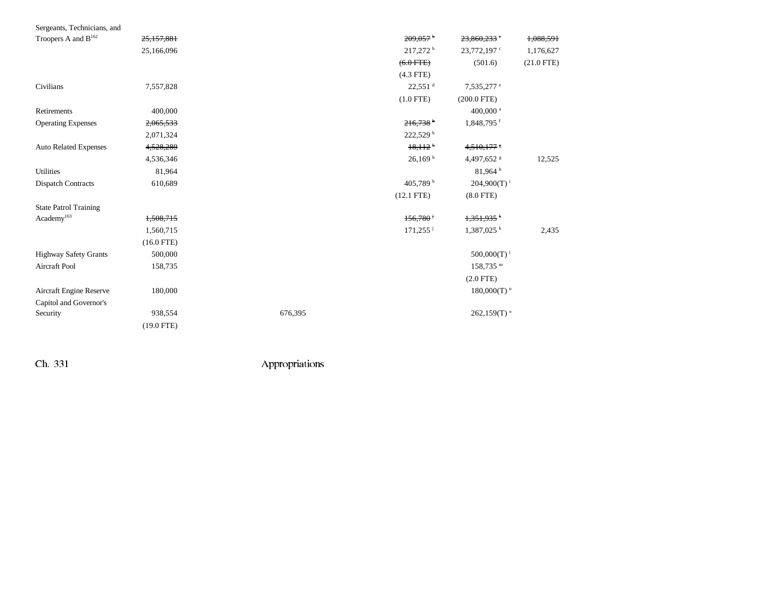| Sergeants, Technicians, and     |              |         |                        |                           |              |
|---------------------------------|--------------|---------|------------------------|---------------------------|--------------|
| Troopers A and B <sup>162</sup> | 25,157,881   |         | 209,057                | 23,860,233                | 1,088,591    |
|                                 | 25,166,096   |         | 217,272 <sup>b</sup>   | 23,772,197 <sup>c</sup>   | 1,176,627    |
|                                 |              |         | $(6.0$ FTE)            | (501.6)                   | $(21.0$ FTE) |
|                                 |              |         | $(4.3$ FTE)            |                           |              |
| Civilians                       | 7,557,828    |         | $22,551$ <sup>d</sup>  | 7,535,277 <sup>e</sup>    |              |
|                                 |              |         | $(1.0$ FTE)            | $(200.0$ FTE)             |              |
| Retirements                     | 400,000      |         |                        | 400,000 <sup>a</sup>      |              |
| <b>Operating Expenses</b>       | 2,065,533    |         | $216,738$ <sup>b</sup> | 1,848,795 f               |              |
|                                 | 2,071,324    |         | 222,529 b              |                           |              |
| <b>Auto Related Expenses</b>    | 4,528,289    |         | $18,112$ <sup>b</sup>  | 4,510,177                 |              |
|                                 | 4,536,346    |         | 26.169 <sup>b</sup>    | 4,497,652 8               | 12,525       |
| <b>Utilities</b>                | 81,964       |         |                        | $81,964$ <sup>h</sup>     |              |
| <b>Dispatch Contracts</b>       | 610,689      |         | 405,789 <sup>b</sup>   | $204,900(T)^{1}$          |              |
|                                 |              |         | $(12.1$ FTE)           | $(8.0$ FTE)               |              |
| <b>State Patrol Training</b>    |              |         |                        |                           |              |
| Academy <sup>163</sup>          | 1,508,715    |         | 156,780                | $1,351,935$ <sup>k</sup>  |              |
|                                 | 1,560,715    |         | $171,255$ <sup>j</sup> | $1,387,025$ <sup>k</sup>  | 2,435        |
|                                 | $(16.0$ FTE) |         |                        |                           |              |
| <b>Highway Safety Grants</b>    | 500,000      |         |                        | $500,000(T)^1$            |              |
| Aircraft Pool                   | 158,735      |         |                        | $158,735$ <sup>m</sup>    |              |
|                                 |              |         |                        | $(2.0$ FTE)               |              |
| Aircraft Engine Reserve         | 180,000      |         |                        | $180,000(T)$ <sup>n</sup> |              |
| Capitol and Governor's          |              |         |                        |                           |              |
| Security                        | 938,554      | 676,395 |                        | $262,159(T)$ <sup>o</sup> |              |
|                                 | $(19.0$ FTE) |         |                        |                           |              |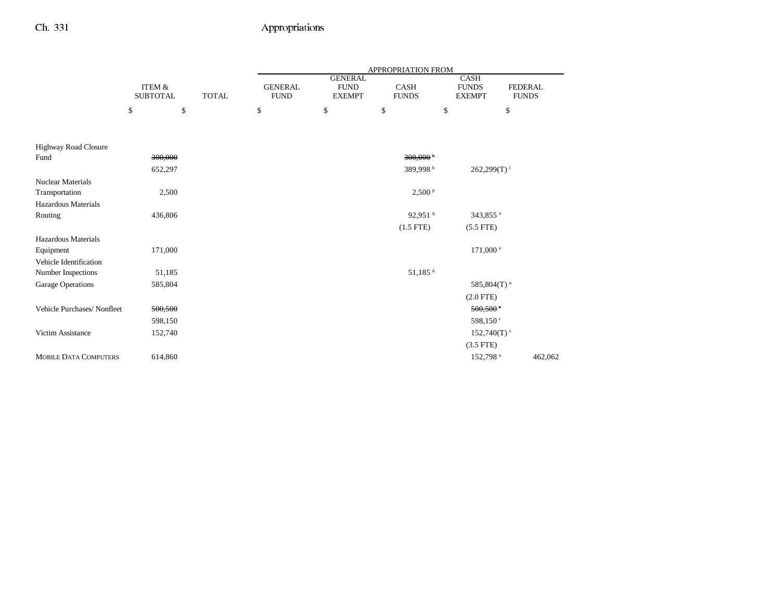|                                            |                                      |              | <b>APPROPRIATION FROM</b>     |                                                |                             |                                              |                                |  |  |  |
|--------------------------------------------|--------------------------------------|--------------|-------------------------------|------------------------------------------------|-----------------------------|----------------------------------------------|--------------------------------|--|--|--|
|                                            | <b>ITEM &amp;</b><br><b>SUBTOTAL</b> | <b>TOTAL</b> | <b>GENERAL</b><br><b>FUND</b> | <b>GENERAL</b><br><b>FUND</b><br><b>EXEMPT</b> | <b>CASH</b><br><b>FUNDS</b> | <b>CASH</b><br><b>FUNDS</b><br><b>EXEMPT</b> | <b>FEDERAL</b><br><b>FUNDS</b> |  |  |  |
|                                            | \$                                   | $\mathbb{S}$ | \$                            | \$                                             | \$                          | \$                                           | \$                             |  |  |  |
| Highway Road Closure                       |                                      |              |                               |                                                |                             |                                              |                                |  |  |  |
| Fund                                       | 300,000                              |              |                               |                                                | $300,000$ <sup>b</sup>      |                                              |                                |  |  |  |
|                                            | 652,297                              |              |                               |                                                | 389,998 <sup>b</sup>        | $262,299(T)^{1}$                             |                                |  |  |  |
| <b>Nuclear Materials</b><br>Transportation | 2,500                                |              |                               |                                                | 2,500 P                     |                                              |                                |  |  |  |
| Hazardous Materials<br>Routing             | 436,806                              |              |                               |                                                | 92,951 <sup>9</sup>         | 343,855 <sup>a</sup>                         |                                |  |  |  |
|                                            |                                      |              |                               |                                                | $(1.5$ FTE)                 | $(5.5$ FTE)                                  |                                |  |  |  |
| Hazardous Materials                        |                                      |              |                               |                                                |                             |                                              |                                |  |  |  |
| Equipment                                  | 171,000                              |              |                               |                                                |                             | 171,000 <sup>a</sup>                         |                                |  |  |  |
| Vehicle Identification                     |                                      |              |                               |                                                |                             |                                              |                                |  |  |  |
| Number Inspections                         | 51,185                               |              |                               |                                                | $51,185$ <sup>d</sup>       |                                              |                                |  |  |  |
| Garage Operations                          | 585,804                              |              |                               |                                                |                             | 585,804(T) <sup>n</sup>                      |                                |  |  |  |
|                                            |                                      |              |                               |                                                |                             | $(2.0$ FTE)                                  |                                |  |  |  |
| Vehicle Purchases/ Nonfleet                | 500,500                              |              |                               |                                                |                             | 500,500                                      |                                |  |  |  |
|                                            | 598,150                              |              |                               |                                                |                             | 598,150 <sup>r</sup>                         |                                |  |  |  |
| Victim Assistance                          | 152,740                              |              |                               |                                                |                             | $152,740(T)$ <sup>s</sup>                    |                                |  |  |  |
|                                            |                                      |              |                               |                                                |                             | $(3.5$ FTE)                                  |                                |  |  |  |
| <b>MOBILE DATA COMPUTERS</b>               | 614,860                              |              |                               |                                                |                             | $152,798$ u                                  | 462,062                        |  |  |  |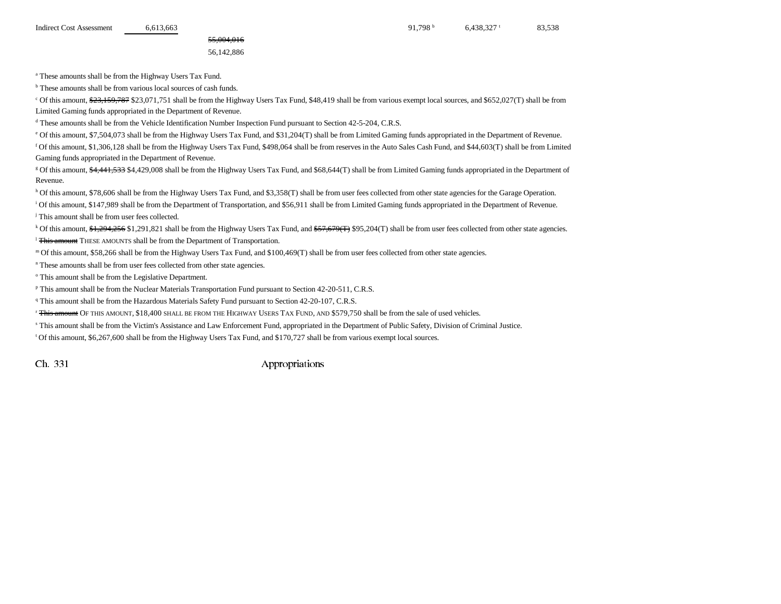55,004,016 56,142,886

a These amounts shall be from the Highway Users Tax Fund.

<sup>b</sup> These amounts shall be from various local sources of cash funds.

<sup>c</sup> Of this amount, \$23,159,787 \$23,071,751 shall be from the Highway Users Tax Fund, \$48,419 shall be from various exempt local sources, and \$652,027(T) shall be from Limited Gaming funds appropriated in the Department of Revenue.

d These amounts shall be from the Vehicle Identification Number Inspection Fund pursuant to Section 42-5-204, C.R.S.

e Of this amount, \$7,504,073 shall be from the Highway Users Tax Fund, and \$31,204(T) shall be from Limited Gaming funds appropriated in the Department of Revenue.

f Of this amount, \$1,306,128 shall be from the Highway Users Tax Fund, \$498,064 shall be from reserves in the Auto Sales Cash Fund, and \$44,603(T) shall be from Limited Gaming funds appropriated in the Department of Revenue.

<sup>g</sup> Of this amount, \$4,441,533 \$4,429,008 shall be from the Highway Users Tax Fund, and \$68,644(T) shall be from Limited Gaming funds appropriated in the Department of Revenue.

h Of this amount, \$78,606 shall be from the Highway Users Tax Fund, and \$3,358(T) shall be from user fees collected from other state agencies for the Garage Operation.

<sup>i</sup> Of this amount, \$147,989 shall be from the Department of Transportation, and \$56,911 shall be from Limited Gaming funds appropriated in the Department of Revenue.

j This amount shall be from user fees collected.

<sup>k</sup> Of this amount, \$1,294,256 \$1,291,821 shall be from the Highway Users Tax Fund, and \$57,679(T) \$95,204(T) shall be from user fees collected from other state agencies. <sup>1</sup> This amount THESE AMOUNTS shall be from the Department of Transportation.

m Of this amount, \$58,266 shall be from the Highway Users Tax Fund, and \$100,469(T) shall be from user fees collected from other state agencies.

n These amounts shall be from user fees collected from other state agencies.

<sup>o</sup> This amount shall be from the Legislative Department.

p This amount shall be from the Nuclear Materials Transportation Fund pursuant to Section 42-20-511, C.R.S.

<sup>q</sup> This amount shall be from the Hazardous Materials Safety Fund pursuant to Section 42-20-107, C.R.S.

<sup>r</sup> <del>This amount</del> OF this amount, \$18,400 shall be from the Highway Users Tax Fund, and \$579,750 shall be from the sale of used vehicles.

s This amount shall be from the Victim's Assistance and Law Enforcement Fund, appropriated in the Department of Public Safety, Division of Criminal Justice.

t Of this amount, \$6,267,600 shall be from the Highway Users Tax Fund, and \$170,727 shall be from various exempt local sources.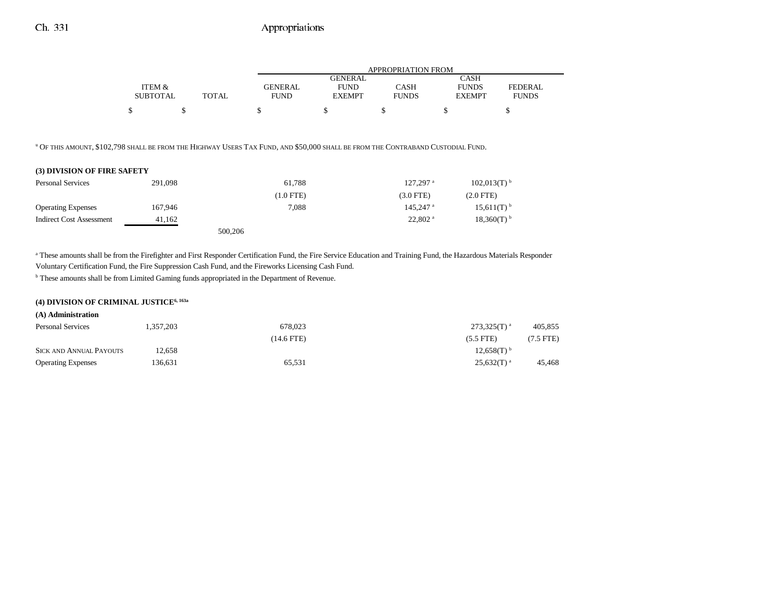|                 |              |                | APPROPRIATION FROM |              |               |              |  |  |  |  |
|-----------------|--------------|----------------|--------------------|--------------|---------------|--------------|--|--|--|--|
|                 |              |                | <b>GENERAL</b>     |              | CASH          |              |  |  |  |  |
| ITEM &          |              | <b>GENERAL</b> | <b>FUND</b>        | CASH         | <b>FUNDS</b>  | FEDERAL.     |  |  |  |  |
| <b>SUBTOTAL</b> | <b>TOTAL</b> | <b>FUND</b>    | <b>EXEMPT</b>      | <b>FUNDS</b> | <b>EXEMPT</b> | <b>FUNDS</b> |  |  |  |  |
|                 |              |                |                    |              |               |              |  |  |  |  |

u OF THIS AMOUNT, \$102,798 SHALL BE FROM THE HIGHWAY USERS TAX FUND, AND \$50,000 SHALL BE FROM THE CONTRABAND CUSTODIAL FUND.

### **(3) DIVISION OF FIRE SAFETY**

| <b>Personal Services</b>  | 291,098 | 61.788      | $127.297$ <sup>a</sup> | $102.013(T)$ <sup>b</sup> |
|---------------------------|---------|-------------|------------------------|---------------------------|
|                           |         | $(1.0$ FTE) | $(3.0$ FTE)            | $(2.0$ FTE)               |
| <b>Operating Expenses</b> | 167,946 | 7.088       | $145.247$ <sup>a</sup> | $15,611(T)$ <sup>b</sup>  |
| Indirect Cost Assessment  | 41.162  |             | $22.802$ <sup>a</sup>  | $18,360(T)$ <sup>b</sup>  |
|                           |         | 500,206     |                        |                           |

<sup>a</sup> These amounts shall be from the Firefighter and First Responder Certification Fund, the Fire Service Education and Training Fund, the Hazardous Materials Responder

Voluntary Certification Fund, the Fire Suppression Cash Fund, and the Fireworks Licensing Cash Fund.

**b** These amounts shall be from Limited Gaming funds appropriated in the Department of Revenue.

#### **(4) DIVISION OF CRIMINAL JUSTICE6, 163a**

| (A) Administration             |           |                 |                          |                |
|--------------------------------|-----------|-----------------|--------------------------|----------------|
| <b>Personal Services</b>       | 1.357.203 | 678,023         | $273,325(T)^{a}$         | 405.855        |
|                                |           | $(14.6$ FTE $)$ | $(5.5$ FTE)              | $(7.5$ FTE $)$ |
| <b>SICK AND ANNUAL PAYOUTS</b> | 12.658    |                 | $12.658(T)$ <sup>b</sup> |                |
| <b>Operating Expenses</b>      | 136,631   | 65,531          | $25,632(T)^{a}$          | 45,468         |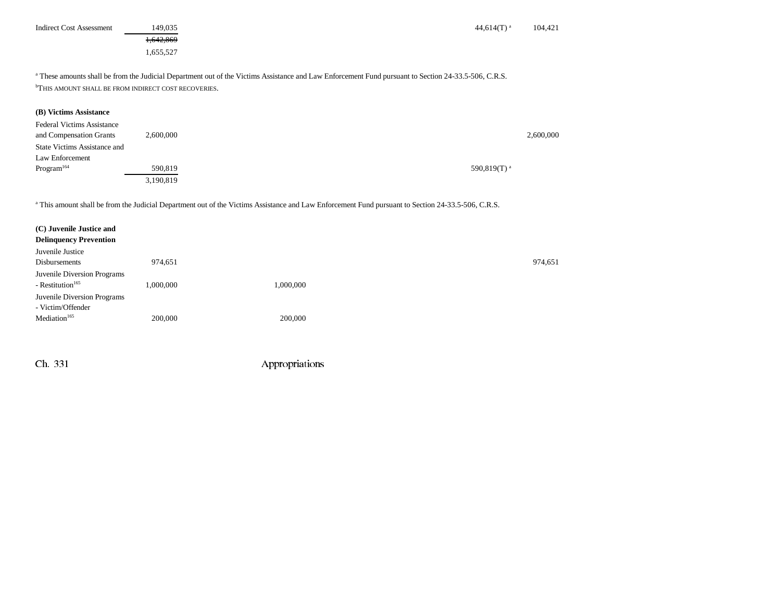| <b>Indirect Cost Assessment</b> | 149,035   | 44.614 $(T)^a$                                                                                                                                                  | 104.421 |
|---------------------------------|-----------|-----------------------------------------------------------------------------------------------------------------------------------------------------------------|---------|
|                                 | 1.642.869 |                                                                                                                                                                 |         |
|                                 | 1.655.527 |                                                                                                                                                                 |         |
|                                 |           | <sup>a</sup> These amounts shall be from the Judicial Department out of the Victims Assistance and Law Enforcement Fund pursuant to Section 24-33.5-506, C.R.S. |         |

b THIS AMOUNT SHALL BE FROM INDIRECT COST RECOVERIES.

## **(B) Victims Assistance**

| <b>Federal Victims Assistance</b>   |           |                 |           |
|-------------------------------------|-----------|-----------------|-----------|
| and Compensation Grants             | 2,600,000 |                 | 2,600,000 |
| <b>State Victims Assistance and</b> |           |                 |           |
| Law Enforcement                     |           |                 |           |
| Program <sup>164</sup>              | 590.819   | 590,819 $(T)^a$ |           |
|                                     | 3,190,819 |                 |           |

<sup>a</sup> This amount shall be from the Judicial Department out of the Victims Assistance and Law Enforcement Fund pursuant to Section 24-33.5-506, C.R.S.

| 974,651   |           |
|-----------|-----------|
| 1,000,000 | 1,000,000 |
|           |           |
| 200,000   | 200,000   |
|           |           |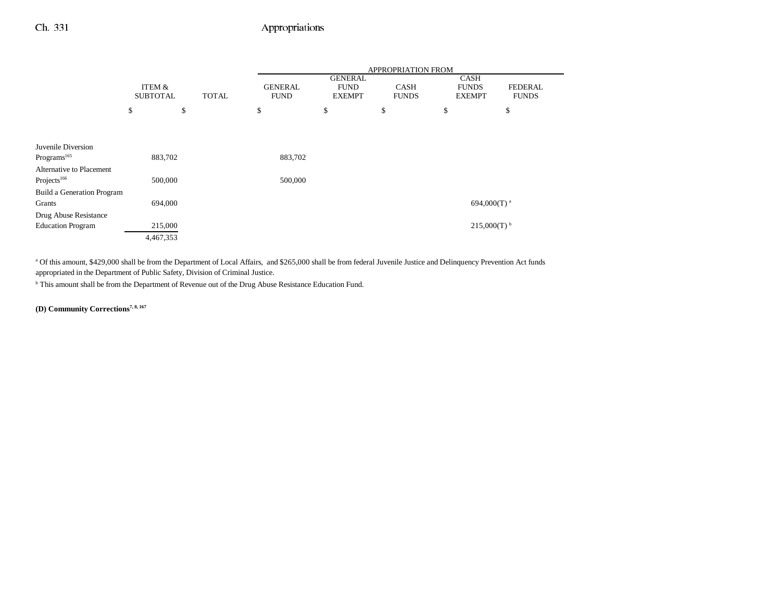|                            |                           |    |              | APPROPRIATION FROM |                                                |                             |    |                                              |                                |  |
|----------------------------|---------------------------|----|--------------|--------------------|------------------------------------------------|-----------------------------|----|----------------------------------------------|--------------------------------|--|
|                            | ITEM &<br><b>SUBTOTAL</b> |    | <b>TOTAL</b> |                    | <b>GENERAL</b><br><b>FUND</b><br><b>EXEMPT</b> | <b>CASH</b><br><b>FUNDS</b> |    | <b>CASH</b><br><b>FUNDS</b><br><b>EXEMPT</b> | <b>FEDERAL</b><br><b>FUNDS</b> |  |
|                            | \$                        | \$ |              | \$                 | \$                                             | \$                          | \$ |                                              | \$                             |  |
|                            |                           |    |              |                    |                                                |                             |    |                                              |                                |  |
| Juvenile Diversion         |                           |    |              |                    |                                                |                             |    |                                              |                                |  |
| Programs <sup>165</sup>    | 883,702                   |    |              | 883,702            |                                                |                             |    |                                              |                                |  |
| Alternative to Placement   |                           |    |              |                    |                                                |                             |    |                                              |                                |  |
| Projects <sup>166</sup>    | 500,000                   |    |              | 500,000            |                                                |                             |    |                                              |                                |  |
| Build a Generation Program |                           |    |              |                    |                                                |                             |    |                                              |                                |  |
| Grants                     | 694,000                   |    |              |                    |                                                |                             |    | 694,000(T) <sup>a</sup>                      |                                |  |
| Drug Abuse Resistance      |                           |    |              |                    |                                                |                             |    |                                              |                                |  |
| <b>Education Program</b>   | 215,000                   |    |              |                    |                                                |                             |    | $215,000(T)$ <sup>b</sup>                    |                                |  |
|                            | 4,467,353                 |    |              |                    |                                                |                             |    |                                              |                                |  |

<sup>a</sup> Of this amount, \$429,000 shall be from the Department of Local Affairs, and \$265,000 shall be from federal Juvenile Justice and Delinquency Prevention Act funds appropriated in the Department of Public Safety, Division of Criminal Justice.

b This amount shall be from the Department of Revenue out of the Drug Abuse Resistance Education Fund.

**(D) Community Corrections7, 8, 167**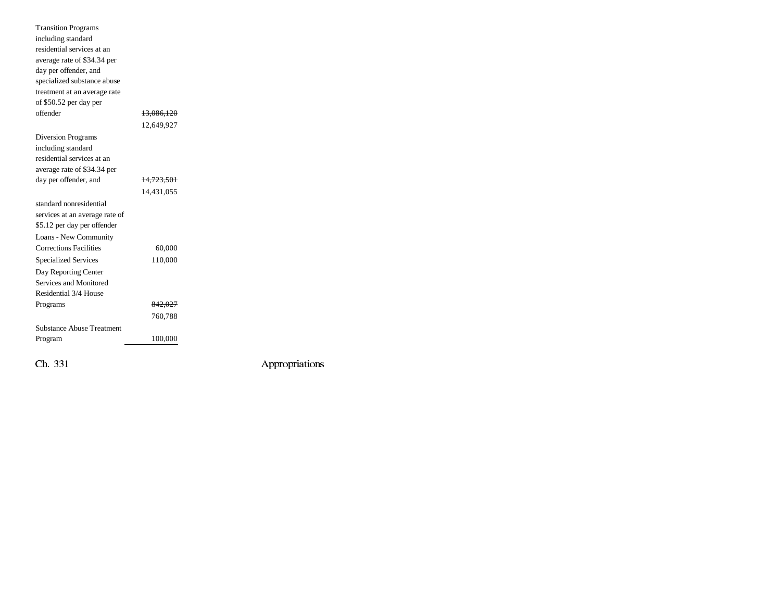| <b>Transition Programs</b>       |            |                |
|----------------------------------|------------|----------------|
| including standard               |            |                |
| residential services at an       |            |                |
| average rate of \$34.34 per      |            |                |
| day per offender, and            |            |                |
| specialized substance abuse      |            |                |
| treatment at an average rate     |            |                |
| of \$50.52 per day per           |            |                |
| offender                         | 13,086,120 |                |
|                                  | 12,649,927 |                |
| Diversion Programs               |            |                |
| including standard               |            |                |
| residential services at an       |            |                |
| average rate of \$34.34 per      |            |                |
| day per offender, and            | 14,723,501 |                |
|                                  | 14,431,055 |                |
| standard nonresidential          |            |                |
| services at an average rate of   |            |                |
| \$5.12 per day per offender      |            |                |
| Loans - New Community            |            |                |
| <b>Corrections Facilities</b>    | 60,000     |                |
| <b>Specialized Services</b>      | 110,000    |                |
| Day Reporting Center             |            |                |
| Services and Monitored           |            |                |
| Residential 3/4 House            |            |                |
| Programs                         | 842,027    |                |
|                                  | 760,788    |                |
| <b>Substance Abuse Treatment</b> |            |                |
| Program                          | 100,000    |                |
|                                  |            |                |
| Ch. 331                          |            | Appropriations |
|                                  |            |                |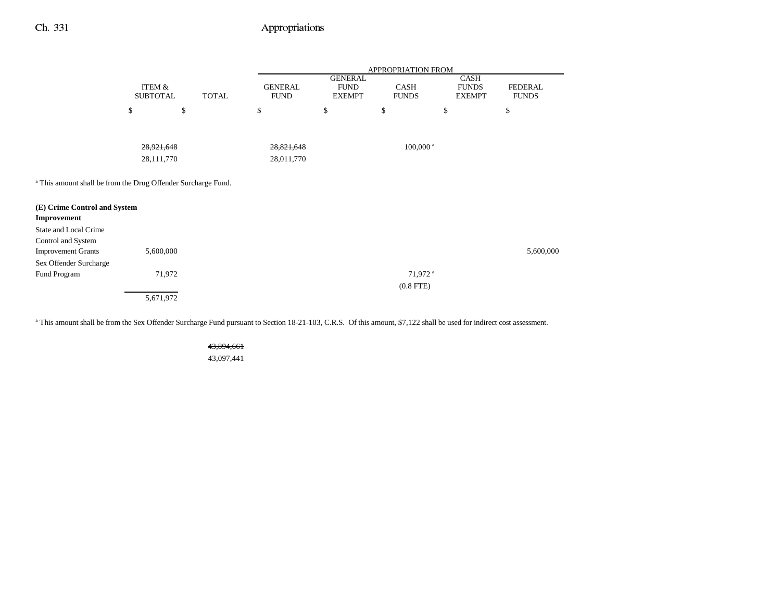|                                                                                                                         |                                      |              | APPROPRIATION FROM            |                                                |                             |                                       |                                |
|-------------------------------------------------------------------------------------------------------------------------|--------------------------------------|--------------|-------------------------------|------------------------------------------------|-----------------------------|---------------------------------------|--------------------------------|
|                                                                                                                         | <b>ITEM &amp;</b><br><b>SUBTOTAL</b> | <b>TOTAL</b> | <b>GENERAL</b><br><b>FUND</b> | <b>GENERAL</b><br><b>FUND</b><br><b>EXEMPT</b> | <b>CASH</b><br><b>FUNDS</b> | CASH<br><b>FUNDS</b><br><b>EXEMPT</b> | <b>FEDERAL</b><br><b>FUNDS</b> |
|                                                                                                                         | \$                                   | \$           | \$                            | \$                                             | \$                          | \$                                    | \$                             |
|                                                                                                                         | 28, 921, 648                         |              | 28,821,648                    |                                                | $100,000$ <sup>a</sup>      |                                       |                                |
|                                                                                                                         | 28,111,770                           |              | 28,011,770                    |                                                |                             |                                       |                                |
| <sup>a</sup> This amount shall be from the Drug Offender Surcharge Fund.<br>(E) Crime Control and System<br>Improvement |                                      |              |                               |                                                |                             |                                       |                                |
| State and Local Crime                                                                                                   |                                      |              |                               |                                                |                             |                                       |                                |
| Control and System                                                                                                      |                                      |              |                               |                                                |                             |                                       |                                |
| <b>Improvement Grants</b>                                                                                               | 5,600,000                            |              |                               |                                                |                             |                                       | 5,600,000                      |
| Sex Offender Surcharge                                                                                                  |                                      |              |                               |                                                |                             |                                       |                                |
| Fund Program                                                                                                            | 71,972                               |              |                               |                                                | 71,972 <sup>a</sup>         |                                       |                                |
|                                                                                                                         |                                      |              |                               |                                                | $(0.8$ FTE)                 |                                       |                                |
|                                                                                                                         | 5,671,972                            |              |                               |                                                |                             |                                       |                                |

<sup>a</sup> This amount shall be from the Sex Offender Surcharge Fund pursuant to Section 18-21-103, C.R.S. Of this amount, \$7,122 shall be used for indirect cost assessment.

43,894,661

43,097,441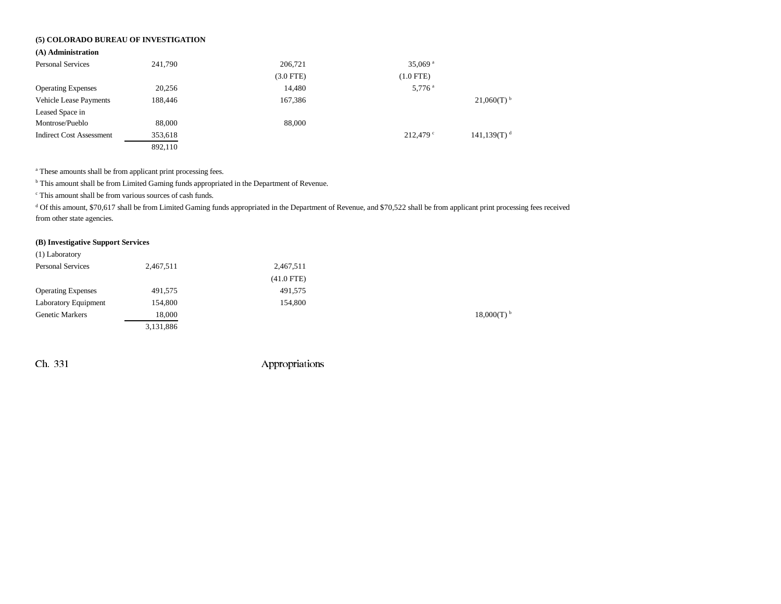## **(5) COLORADO BUREAU OF INVESTIGATION**

#### **(A) Administration**

| <b>Personal Services</b>        | 241,790 | 206,721     | 35,069 $a$           |                           |
|---------------------------------|---------|-------------|----------------------|---------------------------|
|                                 |         | $(3.0$ FTE) | $(1.0$ FTE)          |                           |
| <b>Operating Expenses</b>       | 20,256  | 14,480      | $5,776$ <sup>a</sup> |                           |
| <b>Vehicle Lease Payments</b>   | 188.446 | 167,386     |                      | $21,060(T)$ <sup>b</sup>  |
| Leased Space in                 |         |             |                      |                           |
| Montrose/Pueblo                 | 88,000  | 88,000      |                      |                           |
| <b>Indirect Cost Assessment</b> | 353,618 |             | $212.479$ $\circ$    | $141,139(T)$ <sup>d</sup> |
|                                 | 892,110 |             |                      |                           |

<sup>a</sup> These amounts shall be from applicant print processing fees.

b This amount shall be from Limited Gaming funds appropriated in the Department of Revenue.

c This amount shall be from various sources of cash funds.

<sup>d</sup> Of this amount, \$70,617 shall be from Limited Gaming funds appropriated in the Department of Revenue, and \$70,522 shall be from applicant print processing fees received from other state agencies.

### **(B) Investigative Support Services**

| (1) Laboratory            |           |              |           |
|---------------------------|-----------|--------------|-----------|
| <b>Personal Services</b>  | 2,467,511 | 2,467,511    |           |
|                           |           | $(41.0$ FTE) |           |
| <b>Operating Expenses</b> | 491,575   | 491,575      |           |
| Laboratory Equipment      | 154,800   | 154,800      |           |
| <b>Genetic Markers</b>    | 18,000    |              | 18,000(T) |
|                           | 3,131,886 |              |           |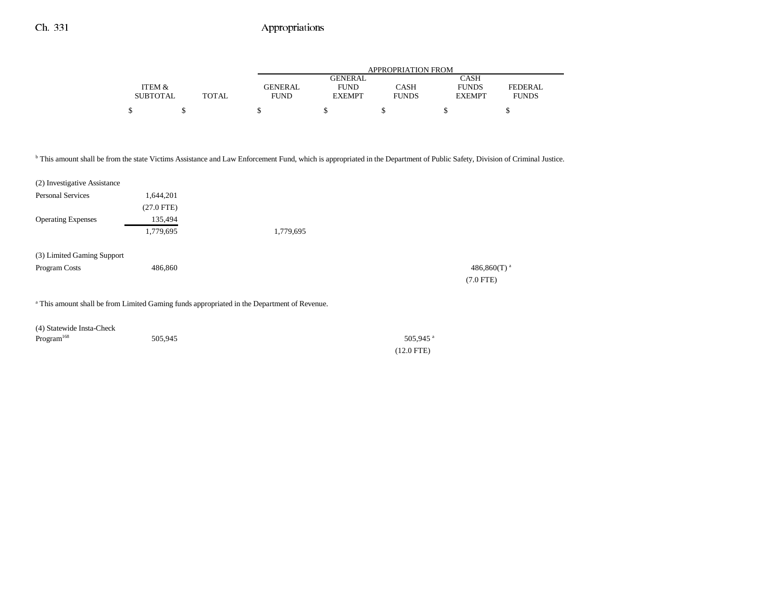|                 |       |                | APPROPRIATION FROM |              |               |              |  |
|-----------------|-------|----------------|--------------------|--------------|---------------|--------------|--|
|                 |       |                | <b>GENERAL</b>     |              | CASH          |              |  |
| ITEM &          |       | <b>GENERAL</b> | <b>FUND</b>        | CASH         | <b>FUNDS</b>  | FEDERAL.     |  |
| <b>SUBTOTAL</b> | TOTAL | <b>FUND</b>    | <b>EXEMPT</b>      | <b>FUNDS</b> | <b>EXEMPT</b> | <b>FUNDS</b> |  |
|                 |       |                |                    |              |               |              |  |

b This amount shall be from the state Victims Assistance and Law Enforcement Fund, which is appropriated in the Department of Public Safety, Division of Criminal Justice.

| (2) Investigative Assistance                |              |                                                                                                        |                                           |
|---------------------------------------------|--------------|--------------------------------------------------------------------------------------------------------|-------------------------------------------|
| <b>Personal Services</b>                    | 1,644,201    |                                                                                                        |                                           |
|                                             | $(27.0$ FTE) |                                                                                                        |                                           |
| <b>Operating Expenses</b>                   | 135,494      |                                                                                                        |                                           |
|                                             | 1,779,695    | 1,779,695                                                                                              |                                           |
| (3) Limited Gaming Support<br>Program Costs | 486,860      |                                                                                                        | 486,860 $(T)$ <sup>a</sup><br>$(7.0$ FTE) |
|                                             |              | <sup>a</sup> This amount shall be from Limited Gaming funds appropriated in the Department of Revenue. |                                           |

| (4) Statewide Insta-Check |         |                    |
|---------------------------|---------|--------------------|
| Program <sup>168</sup>    | 505,945 | 505,945 $^{\circ}$ |
|                           |         | $(12.0$ FTE)       |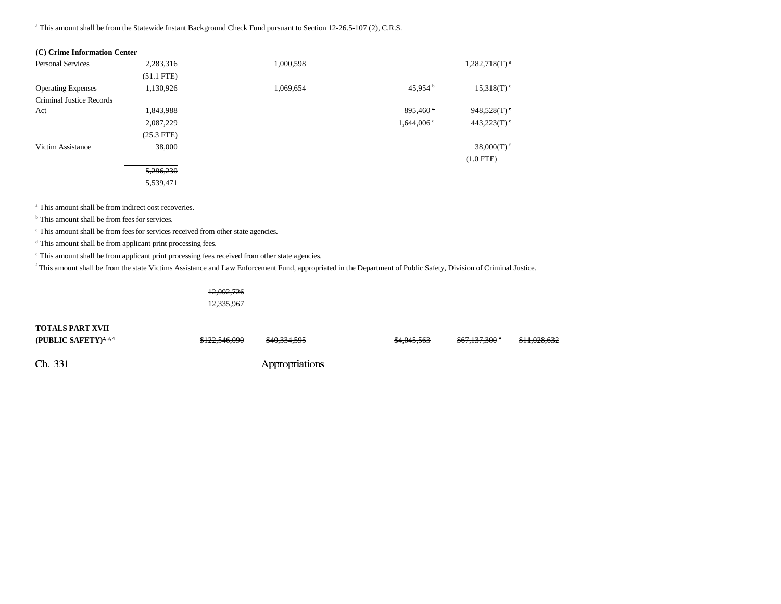<sup>a</sup> This amount shall be from the Statewide Instant Background Check Fund pursuant to Section 12-26.5-107 (2), C.R.S.

| (C) Crime Information Center |              |           |                          |                           |
|------------------------------|--------------|-----------|--------------------------|---------------------------|
| <b>Personal Services</b>     | 2,283,316    | 1,000,598 |                          | $1,282,718(T)^{a}$        |
|                              | $(51.1$ FTE) |           |                          |                           |
| <b>Operating Expenses</b>    | 1,130,926    | 1,069,654 | 45,954 b                 | $15,318(T)$ <sup>c</sup>  |
| Criminal Justice Records     |              |           |                          |                           |
| Act                          | 1,843,988    |           | $895,460$ <sup>d</sup>   | 948,528(T)                |
|                              | 2,087,229    |           | $1,644,006$ <sup>d</sup> | $443,223(T)$ <sup>e</sup> |
|                              | $(25.3$ FTE) |           |                          |                           |
| Victim Assistance            | 38,000       |           |                          | 38,000 $(T)$ <sup>f</sup> |
|                              |              |           |                          | $(1.0$ FTE)               |
|                              | 5,296,230    |           |                          |                           |
|                              | 5,539,471    |           |                          |                           |

<sup>a</sup> This amount shall be from indirect cost recoveries.

b This amount shall be from fees for services.

 $\cdot$  This amount shall be from fees for services received from other state agencies.

<sup>d</sup> This amount shall be from applicant print processing fees.

e This amount shall be from applicant print processing fees received from other state agencies.

f This amount shall be from the state Victims Assistance and Law Enforcement Fund, appropriated in the Department of Public Safety, Division of Criminal Justice.

| <del>12,092,726</del> |  |
|-----------------------|--|
| 12,335,967            |  |

| TOTALS PART XVII                   |                          |                         |                        |                           |              |
|------------------------------------|--------------------------|-------------------------|------------------------|---------------------------|--------------|
| (PUBLIC SAFETY) <sup>2, 3, 4</sup> | <del>\$122,546,090</del> | <del>\$40,334,595</del> | <del>\$4,045,563</del> | <del>\$67,137,300</del> ° | \$11,028,632 |
| Ch. 331                            |                          | Appropriations          |                        |                           |              |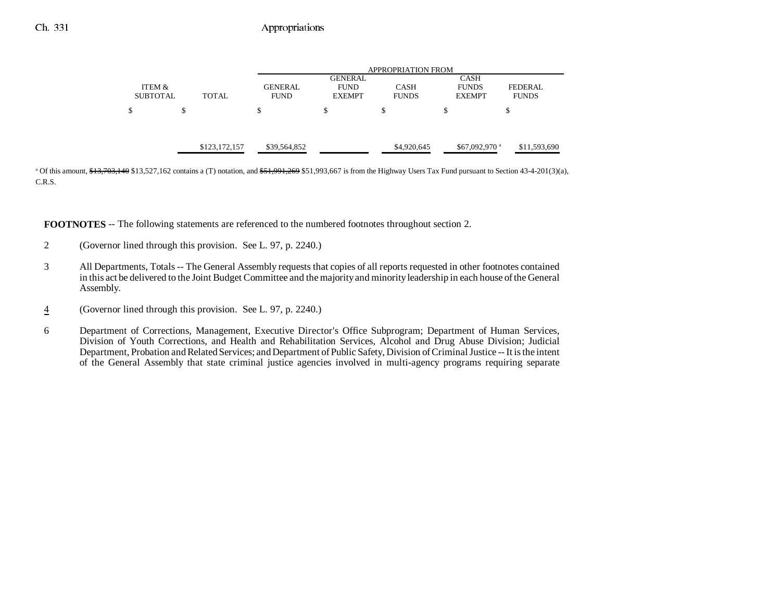|                           |   |               |                               | APPROPRIATION FROM                             |                             |                                              |                                            |  |
|---------------------------|---|---------------|-------------------------------|------------------------------------------------|-----------------------------|----------------------------------------------|--------------------------------------------|--|
| ITEM &<br><b>SUBTOTAL</b> |   | <b>TOTAL</b>  | <b>GENERAL</b><br><b>FUND</b> | <b>GENERAL</b><br><b>FUND</b><br><b>EXEMPT</b> | <b>CASH</b><br><b>FUNDS</b> | <b>CASH</b><br><b>FUNDS</b><br><b>EXEMPT</b> | FEDERAL.<br><b>FUNDS</b>                   |  |
| \$                        | Φ |               | \$                            | S                                              | \$                          | \$                                           | \$                                         |  |
|                           |   | \$123,172,157 | \$39,564,852                  |                                                | \$4,920,645                 |                                              | $$67,092,970$ <sup>a</sup><br>\$11,593,690 |  |

<sup>a</sup> Of this amount,  $\frac{43}{703}$ ,  $\frac{40}{70}$ ,  $\frac{440}{30}$ ,  $\frac{527}{102}$  contains a (T) notation, and  $\frac{451}{791}$ ,  $\frac{269}{51}$ ,  $\frac{993}{667}$  is from the Highway Users Tax Fund pursuant to Section 43-4-201(3)(a), C.R.S.

**FOOTNOTES** -- The following statements are referenced to the numbered footnotes throughout section 2.

- 2 (Governor lined through this provision. See L. 97, p. 2240.)
- 3 All Departments, Totals -- The General Assembly requests that copies of all reports requested in other footnotes contained in this act be delivered to the Joint Budget Committee and the majority and minority leadership in each house of the General Assembly.
- 4(Governor lined through this provision. See L. 97, p. 2240.)
- 6 Department of Corrections, Management, Executive Director's Office Subprogram; Department of Human Services, Division of Youth Corrections, and Health and Rehabilitation Services, Alcohol and Drug Abuse Division; Judicial Department, Probation and Related Services; and Department of Public Safety, Division of Criminal Justice -- It is the intent of the General Assembly that state criminal justice agencies involved in multi-agency programs requiring separate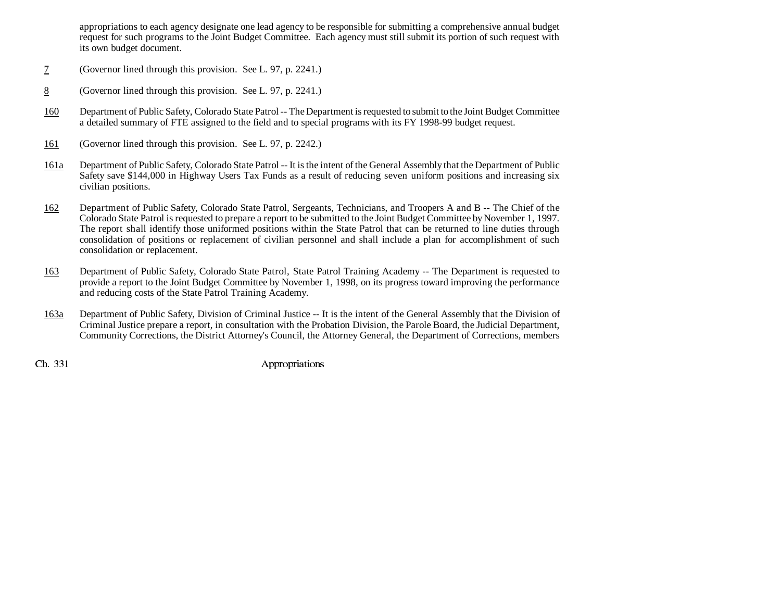appropriations to each agency designate one lead agency to be responsible for submitting a comprehensive annual budget request for such programs to the Joint Budget Committee. Each agency must still submit its portion of such request with its own budget document.

- 7(Governor lined through this provision. See L. 97, p. 2241.)
- 8(Governor lined through this provision. See L. 97, p. 2241.)
- 160 Department of Public Safety, Colorado State Patrol -- The Department is requested to submit to the Joint Budget Committee a detailed summary of FTE assigned to the field and to special programs with its FY 1998-99 budget request.
- 161(Governor lined through this provision. See L. 97, p. 2242.)
- 161a Department of Public Safety, Colorado State Patrol -- It is the intent of the General Assembly that the Department of Public Safety save \$144,000 in Highway Users Tax Funds as a result of reducing seven uniform positions and increasing six civilian positions.
- 162 Department of Public Safety, Colorado State Patrol, Sergeants, Technicians, and Troopers A and B -- The Chief of the Colorado State Patrol is requested to prepare a report to be submitted to the Joint Budget Committee by November 1, 1997. The report shall identify those uniformed positions within the State Patrol that can be returned to line duties through consolidation of positions or replacement of civilian personnel and shall include a plan for accomplishment of such consolidation or replacement.
- 163 Department of Public Safety, Colorado State Patrol, State Patrol Training Academy -- The Department is requested to provide a report to the Joint Budget Committee by November 1, 1998, on its progress toward improving the performance and reducing costs of the State Patrol Training Academy.
- 163a Department of Public Safety, Division of Criminal Justice -- It is the intent of the General Assembly that the Division of Criminal Justice prepare a report, in consultation with the Probation Division, the Parole Board, the Judicial Department, Community Corrections, the District Attorney's Council, the Attorney General, the Department of Corrections, members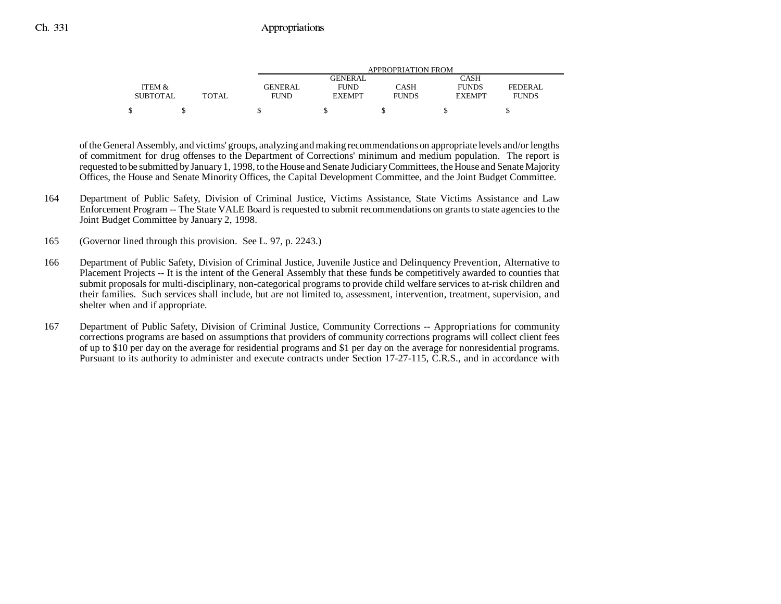|                 |              |                | APPROPRIATION FROM     |              |               |              |  |
|-----------------|--------------|----------------|------------------------|--------------|---------------|--------------|--|
|                 |              |                | CASH<br><b>GENERAL</b> |              |               |              |  |
| ITEM &          |              | <b>GENERAL</b> | <b>FUND</b>            | CASH         | <b>FUNDS</b>  | FEDERAL      |  |
| <b>SUBTOTAL</b> | <b>TOTAL</b> | <b>FUND</b>    | <b>EXEMPT</b>          | <b>FUNDS</b> | <b>EXEMPT</b> | <b>FUNDS</b> |  |
|                 |              |                |                        |              |               |              |  |

of the General Assembly, and victims' groups, analyzing and making recommendations on appropriate levels and/or lengths of commitment for drug offenses to the Department of Corrections' minimum and medium population. The report is requested to be submitted by January 1, 1998, to the House and Senate Judiciary Committees, the House and Senate Majority Offices, the House and Senate Minority Offices, the Capital Development Committee, and the Joint Budget Committee.

- 164 Department of Public Safety, Division of Criminal Justice, Victims Assistance, State Victims Assistance and Law Enforcement Program -- The State VALE Board is requested to submit recommendations on grants to state agencies to the Joint Budget Committee by January 2, 1998.
- 165 (Governor lined through this provision. See L. 97, p. 2243.)
- 166 Department of Public Safety, Division of Criminal Justice, Juvenile Justice and Delinquency Prevention, Alternative to Placement Projects -- It is the intent of the General Assembly that these funds be competitively awarded to counties that submit proposals for multi-disciplinary, non-categorical programs to provide child welfare services to at-risk children and their families. Such services shall include, but are not limited to, assessment, intervention, treatment, supervision, and shelter when and if appropriate.
- 167 Department of Public Safety, Division of Criminal Justice, Community Corrections -- Appropriations for community corrections programs are based on assumptions that providers of community corrections programs will collect client fees of up to \$10 per day on the average for residential programs and \$1 per day on the average for nonresidential programs. Pursuant to its authority to administer and execute contracts under Section 17-27-115, C.R.S., and in accordance with